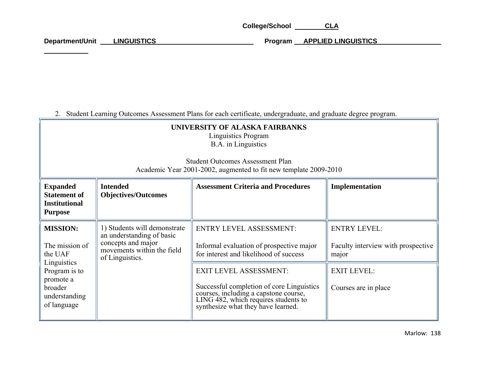College/School CLA

Department/Unit LINGUISTICS **Program APPLIED LINGUISTICS** 

2. Student Learning Outcomes Assessment Plans for each certificate, undergraduate, and graduate degree program.

| UNIVERSITY OF ALASKA FAIRBANKS<br><b>Linguistics Program</b><br>B.A. in Linguistics<br><b>Student Outcomes Assessment Plan</b><br>Academic Year 2001-2002, augmented to fit new template 2009-2010 |                                                                                                                                  |                                                                                                                                                                                                                                                                                                                           |                                                                                                                  |  |  |  |
|----------------------------------------------------------------------------------------------------------------------------------------------------------------------------------------------------|----------------------------------------------------------------------------------------------------------------------------------|---------------------------------------------------------------------------------------------------------------------------------------------------------------------------------------------------------------------------------------------------------------------------------------------------------------------------|------------------------------------------------------------------------------------------------------------------|--|--|--|
| <b>Expanded</b><br><b>Statement of</b><br><b>Institutional</b><br><b>Purpose</b>                                                                                                                   | <b>Intended</b><br><b>Objectives/Outcomes</b>                                                                                    | <b>Assessment Criteria and Procedures</b>                                                                                                                                                                                                                                                                                 | Implementation                                                                                                   |  |  |  |
| <b>MISSION:</b><br>The mission of<br>the UAF<br>Linguistics<br>Program is to<br>promote a<br>broader<br>understanding<br>of language                                                               | 1) Students will demonstrate<br>an understanding of basic<br>concepts and major<br>movements within the field<br>of Linguistics. | <b>ENTRY LEVEL ASSESSMENT:</b><br>Informal evaluation of prospective major<br>for interest and likelihood of success<br><b>EXIT LEVEL ASSESSMENT:</b><br>Successful completion of core Linguistics<br>courses, including a capstone course,<br>LING 482, which requires students to<br>synthesize what they have learned. | <b>ENTRY LEVEL:</b><br>Faculty interview with prospective<br>major<br><b>EXIT LEVEL:</b><br>Courses are in place |  |  |  |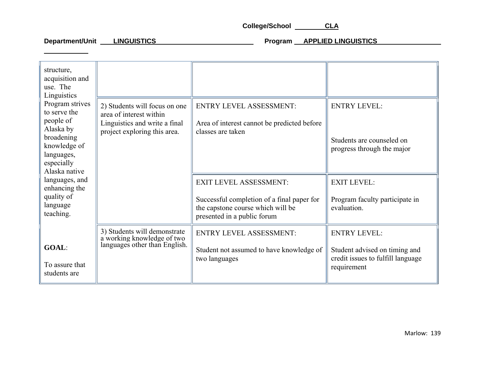College/School CLA

Department/Unit LINGUISTICS **Program APPLIED LINGUISTICS** 

| structure,<br>acquisition and<br>use. The<br>Linguistics<br>Program strives<br>to serve the<br>people of<br>Alaska by<br>broadening<br>knowledge of<br>languages,<br>especially<br>Alaska native<br>languages, and<br>enhancing the<br>quality of<br>language<br>teaching. |                                                                                             |                                                                                                                |                                                                                                          |
|----------------------------------------------------------------------------------------------------------------------------------------------------------------------------------------------------------------------------------------------------------------------------|---------------------------------------------------------------------------------------------|----------------------------------------------------------------------------------------------------------------|----------------------------------------------------------------------------------------------------------|
|                                                                                                                                                                                                                                                                            | 2) Students will focus on one                                                               | <b>ENTRY LEVEL ASSESSMENT:</b>                                                                                 | <b>ENTRY LEVEL:</b>                                                                                      |
|                                                                                                                                                                                                                                                                            | area of interest within<br>Linguistics and write a final<br>project exploring this area.    | Area of interest cannot be predicted before<br>classes are taken                                               | Students are counseled on<br>progress through the major                                                  |
|                                                                                                                                                                                                                                                                            |                                                                                             | <b>EXIT LEVEL ASSESSMENT:</b>                                                                                  | <b>EXIT LEVEL:</b>                                                                                       |
|                                                                                                                                                                                                                                                                            |                                                                                             | Successful completion of a final paper for<br>the capstone course which will be<br>presented in a public forum | Program faculty participate in<br>evaluation.                                                            |
| <b>GOAL:</b><br>To assure that<br>students are                                                                                                                                                                                                                             | 3) Students will demonstrate<br>a working knowledge of two<br>languages other than English. | <b>ENTRY LEVEL ASSESSMENT:</b><br>Student not assumed to have knowledge of<br>two languages                    | <b>ENTRY LEVEL:</b><br>Student advised on timing and<br>credit issues to fulfill language<br>requirement |